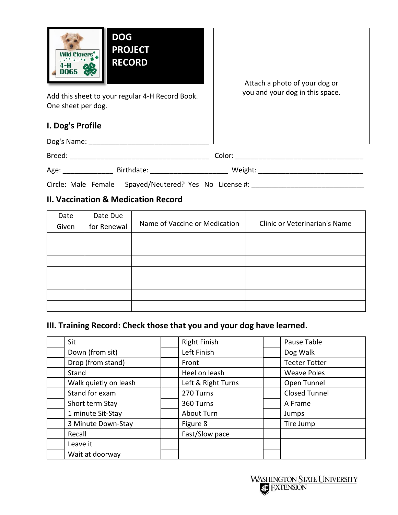

Add this sheet to your regular 4-H Record Book. One sheet per dog.

### **I. Dog's Profile**

| Dog's Name: |            |         |
|-------------|------------|---------|
| Breed:      |            | Color:  |
| Age:        | Birthdate: | Weight: |

Circle: Male Female Spayed/Neutered? Yes No License #: \_\_\_\_\_\_\_\_\_\_\_\_\_\_\_\_\_\_\_\_\_\_\_\_\_

### **II. Vaccination & Medication Record**

| Date  | Date Due    |                               |                               |  |  |
|-------|-------------|-------------------------------|-------------------------------|--|--|
| Given | for Renewal | Name of Vaccine or Medication | Clinic or Veterinarian's Name |  |  |
|       |             |                               |                               |  |  |
|       |             |                               |                               |  |  |
|       |             |                               |                               |  |  |
|       |             |                               |                               |  |  |
|       |             |                               |                               |  |  |
|       |             |                               |                               |  |  |
|       |             |                               |                               |  |  |

# **III. Training Record: Check those that you and your dog have learned.**

| Sit                   | <b>Right Finish</b> | Pause Table          |
|-----------------------|---------------------|----------------------|
| Down (from sit)       | Left Finish         | Dog Walk             |
| Drop (from stand)     | Front               | <b>Teeter Totter</b> |
| Stand                 | Heel on leash       | <b>Weave Poles</b>   |
| Walk quietly on leash | Left & Right Turns  | Open Tunnel          |
| Stand for exam        | 270 Turns           | <b>Closed Tunnel</b> |
| Short term Stay       | 360 Turns           | A Frame              |
| 1 minute Sit-Stay     | About Turn          | Jumps                |
| 3 Minute Down-Stay    | Figure 8            | Tire Jump            |
| Recall                | Fast/Slow pace      |                      |
| Leave it              |                     |                      |
| Wait at doorway       |                     |                      |

Attach a photo of your dog or you and your dog in this space.

**WASHINGTON STATE UNIVERSITY AC EXTENSION**